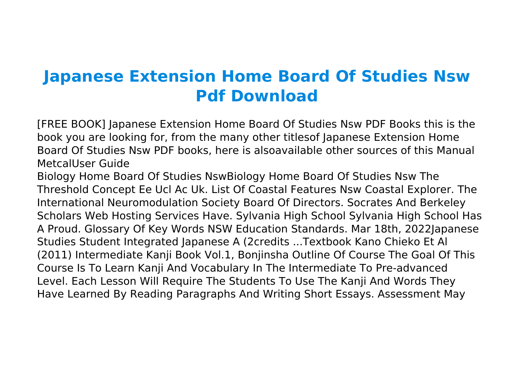## **Japanese Extension Home Board Of Studies Nsw Pdf Download**

[FREE BOOK] Japanese Extension Home Board Of Studies Nsw PDF Books this is the book you are looking for, from the many other titlesof Japanese Extension Home Board Of Studies Nsw PDF books, here is alsoavailable other sources of this Manual MetcalUser Guide

Biology Home Board Of Studies NswBiology Home Board Of Studies Nsw The Threshold Concept Ee Ucl Ac Uk. List Of Coastal Features Nsw Coastal Explorer. The International Neuromodulation Society Board Of Directors. Socrates And Berkeley Scholars Web Hosting Services Have. Sylvania High School Sylvania High School Has A Proud. Glossary Of Key Words NSW Education Standards. Mar 18th, 2022Japanese Studies Student Integrated Japanese A (2credits ...Textbook Kano Chieko Et Al (2011) Intermediate Kanji Book Vol.1, Bonjinsha Outline Of Course The Goal Of This Course Is To Learn Kanji And Vocabulary In The Intermediate To Pre-advanced Level. Each Lesson Will Require The Students To Use The Kanji And Words They Have Learned By Reading Paragraphs And Writing Short Essays. Assessment May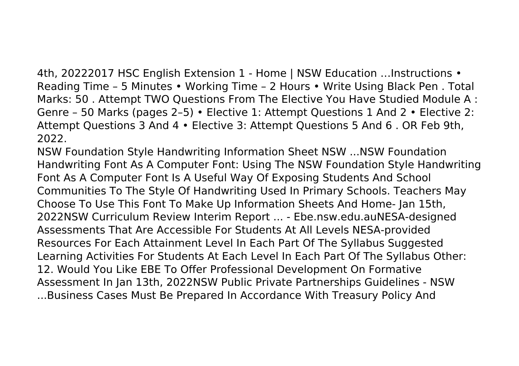4th, 20222017 HSC English Extension 1 - Home | NSW Education …Instructions • Reading Time – 5 Minutes • Working Time – 2 Hours • Write Using Black Pen . Total Marks: 50 . Attempt TWO Questions From The Elective You Have Studied Module A : Genre – 50 Marks (pages 2–5) • Elective 1: Attempt Questions 1 And 2 • Elective 2: Attempt Questions 3 And 4 • Elective 3: Attempt Questions 5 And 6 . OR Feb 9th, 2022.

NSW Foundation Style Handwriting Information Sheet NSW ...NSW Foundation Handwriting Font As A Computer Font: Using The NSW Foundation Style Handwriting Font As A Computer Font Is A Useful Way Of Exposing Students And School Communities To The Style Of Handwriting Used In Primary Schools. Teachers May Choose To Use This Font To Make Up Information Sheets And Home- Jan 15th, 2022NSW Curriculum Review Interim Report ... - Ebe.nsw.edu.auNESA-designed Assessments That Are Accessible For Students At All Levels NESA-provided Resources For Each Attainment Level In Each Part Of The Syllabus Suggested Learning Activities For Students At Each Level In Each Part Of The Syllabus Other: 12. Would You Like EBE To Offer Professional Development On Formative Assessment In Jan 13th, 2022NSW Public Private Partnerships Guidelines - NSW ...Business Cases Must Be Prepared In Accordance With Treasury Policy And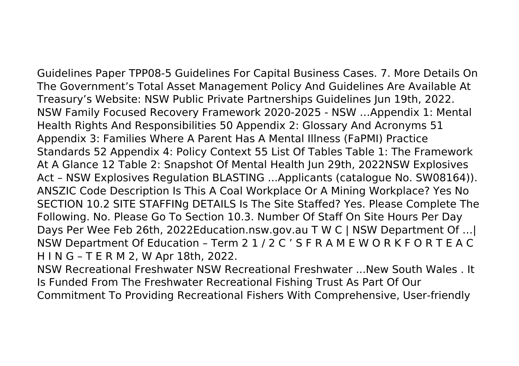Guidelines Paper TPP08-5 Guidelines For Capital Business Cases. 7. More Details On The Government's Total Asset Management Policy And Guidelines Are Available At Treasury's Website: NSW Public Private Partnerships Guidelines Jun 19th, 2022. NSW Family Focused Recovery Framework 2020-2025 - NSW …Appendix 1: Mental Health Rights And Responsibilities 50 Appendix 2: Glossary And Acronyms 51 Appendix 3: Families Where A Parent Has A Mental Illness (FaPMI) Practice Standards 52 Appendix 4: Policy Context 55 List Of Tables Table 1: The Framework At A Glance 12 Table 2: Snapshot Of Mental Health Jun 29th, 2022NSW Explosives Act – NSW Explosives Regulation BLASTING ...Applicants (catalogue No. SW08164)). ANSZIC Code Description Is This A Coal Workplace Or A Mining Workplace? Yes No SECTION 10.2 SITE STAFFINg DETAILS Is The Site Staffed? Yes. Please Complete The Following. No. Please Go To Section 10.3. Number Of Staff On Site Hours Per Day Days Per Wee Feb 26th, 2022Education.nsw.gov.au T W C | NSW Department Of …| NSW Department Of Education – Term 2 1 / 2 C ' S F R A M E W O R K F O R T E A C H I N G – T E R M 2, W Apr 18th, 2022.

NSW Recreational Freshwater NSW Recreational Freshwater ...New South Wales . It Is Funded From The Freshwater Recreational Fishing Trust As Part Of Our Commitment To Providing Recreational Fishers With Comprehensive, User-friendly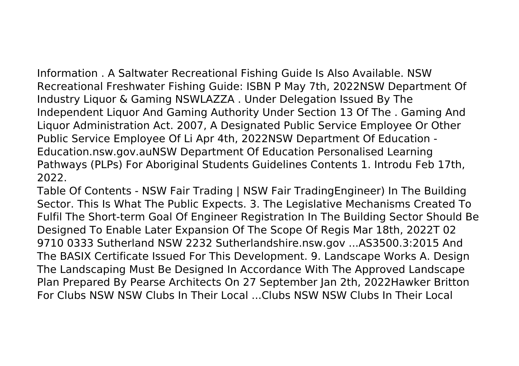Information . A Saltwater Recreational Fishing Guide Is Also Available. NSW Recreational Freshwater Fishing Guide: ISBN P May 7th, 2022NSW Department Of Industry Liquor & Gaming NSWLAZZA . Under Delegation Issued By The Independent Liquor And Gaming Authority Under Section 13 Of The . Gaming And Liquor Administration Act. 2007, A Designated Public Service Employee Or Other Public Service Employee Of Li Apr 4th, 2022NSW Department Of Education - Education.nsw.gov.auNSW Department Of Education Personalised Learning Pathways (PLPs) For Aboriginal Students Guidelines Contents 1. Introdu Feb 17th, 2022.

Table Of Contents - NSW Fair Trading | NSW Fair TradingEngineer) In The Building Sector. This Is What The Public Expects. 3. The Legislative Mechanisms Created To Fulfil The Short-term Goal Of Engineer Registration In The Building Sector Should Be Designed To Enable Later Expansion Of The Scope Of Regis Mar 18th, 2022T 02 9710 0333 Sutherland NSW 2232 Sutherlandshire.nsw.gov ...AS3500.3:2015 And The BASIX Certificate Issued For This Development. 9. Landscape Works A. Design The Landscaping Must Be Designed In Accordance With The Approved Landscape Plan Prepared By Pearse Architects On 27 September Jan 2th, 2022Hawker Britton For Clubs NSW NSW Clubs In Their Local ...Clubs NSW NSW Clubs In Their Local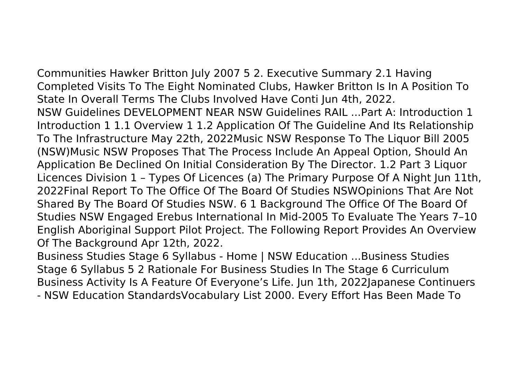Communities Hawker Britton July 2007 5 2. Executive Summary 2.1 Having Completed Visits To The Eight Nominated Clubs, Hawker Britton Is In A Position To State In Overall Terms The Clubs Involved Have Conti Jun 4th, 2022. NSW Guidelines DEVELOPMENT NEAR NSW Guidelines RAIL ...Part A: Introduction 1

Introduction 1 1.1 Overview 1 1.2 Application Of The Guideline And Its Relationship To The Infrastructure May 22th, 2022Music NSW Response To The Liquor Bill 2005 (NSW)Music NSW Proposes That The Process Include An Appeal Option, Should An Application Be Declined On Initial Consideration By The Director. 1.2 Part 3 Liquor Licences Division 1 – Types Of Licences (a) The Primary Purpose Of A Night Jun 11th, 2022Final Report To The Office Of The Board Of Studies NSWOpinions That Are Not Shared By The Board Of Studies NSW. 6 1 Background The Office Of The Board Of Studies NSW Engaged Erebus International In Mid-2005 To Evaluate The Years 7–10 English Aboriginal Support Pilot Project. The Following Report Provides An Overview Of The Background Apr 12th, 2022.

Business Studies Stage 6 Syllabus - Home | NSW Education ...Business Studies Stage 6 Syllabus 5 2 Rationale For Business Studies In The Stage 6 Curriculum Business Activity Is A Feature Of Everyone's Life. Jun 1th, 2022Japanese Continuers - NSW Education StandardsVocabulary List 2000. Every Effort Has Been Made To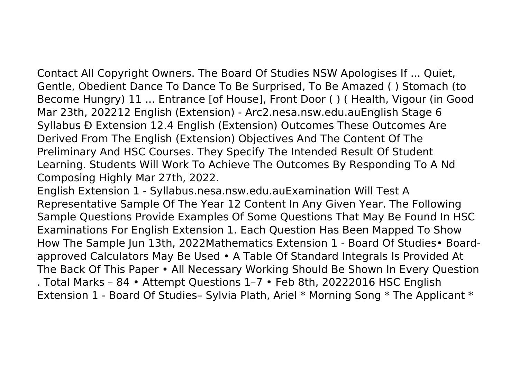Contact All Copyright Owners. The Board Of Studies NSW Apologises If ... Quiet, Gentle, Obedient Dance To Dance To Be Surprised, To Be Amazed ( ) Stomach (to Become Hungry) 11 ... Entrance [of House], Front Door ( ) ( Health, Vigour (in Good Mar 23th, 202212 English (Extension) - Arc2.nesa.nsw.edu.auEnglish Stage 6 Syllabus Ð Extension 12.4 English (Extension) Outcomes These Outcomes Are Derived From The English (Extension) Objectives And The Content Of The Preliminary And HSC Courses. They Specify The Intended Result Of Student Learning. Students Will Work To Achieve The Outcomes By Responding To A Nd Composing Highly Mar 27th, 2022.

English Extension 1 - Syllabus.nesa.nsw.edu.auExamination Will Test A Representative Sample Of The Year 12 Content In Any Given Year. The Following Sample Questions Provide Examples Of Some Questions That May Be Found In HSC Examinations For English Extension 1. Each Question Has Been Mapped To Show How The Sample Jun 13th, 2022Mathematics Extension 1 - Board Of Studies• Boardapproved Calculators May Be Used • A Table Of Standard Integrals Is Provided At The Back Of This Paper • All Necessary Working Should Be Shown In Every Question . Total Marks – 84 • Attempt Questions 1–7 • Feb 8th, 20222016 HSC English Extension 1 - Board Of Studies– Sylvia Plath, Ariel \* Morning Song \* The Applicant \*